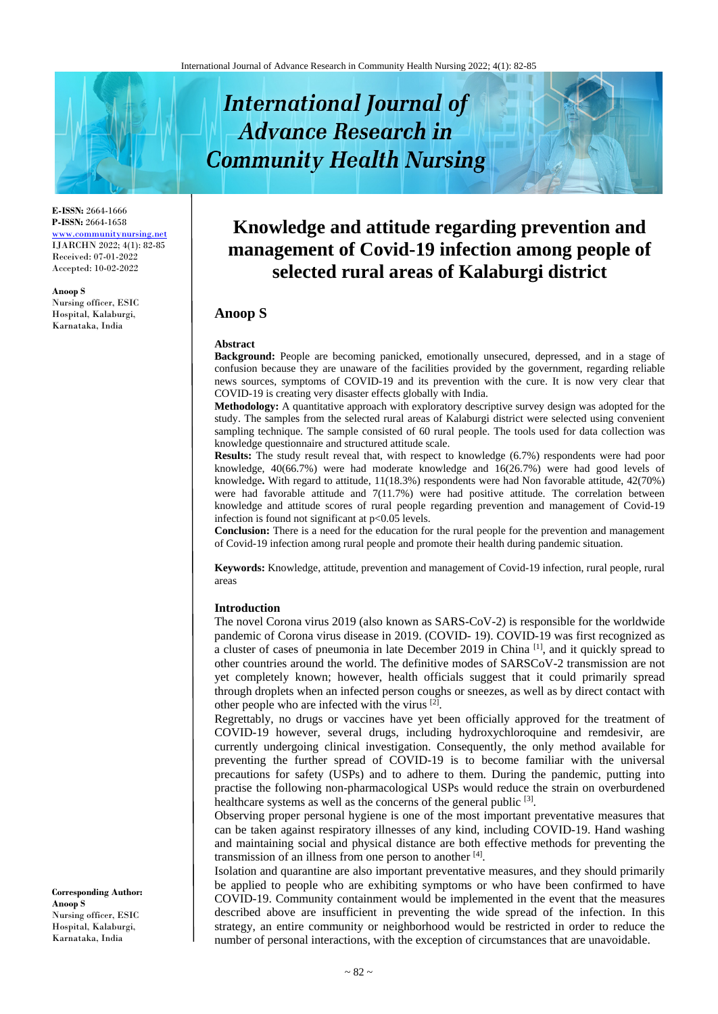# **International Journal of Advance Research in Community Health Nursing**

**E-ISSN:** 2664-1666 **P-ISSN:** 2664-1658 [www.communitynursing.net](http://www.communitynursing.net/) IJARCHN 2022; 4(1): 82-85 Received: 07-01-2022 Accepted: 10-02-2022

**Anoop S** Nursing officer, ESIC Hospital, Kalaburgi, Karnataka, India

## **Knowledge and attitude regarding prevention and management of Covid-19 infection among people of selected rural areas of Kalaburgi district**

### **Anoop S**

#### **Abstract**

**Background:** People are becoming panicked, emotionally unsecured, depressed, and in a stage of confusion because they are unaware of the facilities provided by the government, regarding reliable news sources, symptoms of COVID-19 and its prevention with the cure. It is now very clear that COVID-19 is creating very disaster effects globally with India.

**Methodology:** A quantitative approach with exploratory descriptive survey design was adopted for the study. The samples from the selected rural areas of Kalaburgi district were selected using convenient sampling technique. The sample consisted of 60 rural people. The tools used for data collection was knowledge questionnaire and structured attitude scale.

**Results:** The study result reveal that, with respect to knowledge (6.7%) respondents were had poor knowledge, 40(66.7%) were had moderate knowledge and 16(26.7%) were had good levels of knowledge**.** With regard to attitude, 11(18.3%) respondents were had Non favorable attitude, 42(70%) were had favorable attitude and 7(11.7%) were had positive attitude. The correlation between knowledge and attitude scores of rural people regarding prevention and management of Covid-19 infection is found not significant at  $p<0.05$  levels.

**Conclusion:** There is a need for the education for the rural people for the prevention and management of Covid-19 infection among rural people and promote their health during pandemic situation.

**Keywords:** Knowledge, attitude, prevention and management of Covid-19 infection, rural people, rural areas

#### **Introduction**

The novel Corona virus 2019 (also known as SARS-CoV-2) is responsible for the worldwide pandemic of Corona virus disease in 2019. (COVID- 19). COVID-19 was first recognized as a cluster of cases of pneumonia in late December 2019 in China [1], and it quickly spread to other countries around the world. The definitive modes of SARSCoV-2 transmission are not yet completely known; however, health officials suggest that it could primarily spread through droplets when an infected person coughs or sneezes, as well as by direct contact with other people who are infected with the virus  $[2]$ .

Regrettably, no drugs or vaccines have yet been officially approved for the treatment of COVID-19 however, several drugs, including hydroxychloroquine and remdesivir, are currently undergoing clinical investigation. Consequently, the only method available for preventing the further spread of COVID-19 is to become familiar with the universal precautions for safety (USPs) and to adhere to them. During the pandemic, putting into practise the following non-pharmacological USPs would reduce the strain on overburdened healthcare systems as well as the concerns of the general public <sup>[3]</sup>.

Observing proper personal hygiene is one of the most important preventative measures that can be taken against respiratory illnesses of any kind, including COVID-19. Hand washing and maintaining social and physical distance are both effective methods for preventing the transmission of an illness from one person to another [4].

Isolation and quarantine are also important preventative measures, and they should primarily be applied to people who are exhibiting symptoms or who have been confirmed to have COVID-19. Community containment would be implemented in the event that the measures described above are insufficient in preventing the wide spread of the infection. In this strategy, an entire community or neighborhood would be restricted in order to reduce the number of personal interactions, with the exception of circumstances that are unavoidable.

**Corresponding Author: Anoop S** Nursing officer, ESIC Hospital, Kalaburgi, Karnataka, India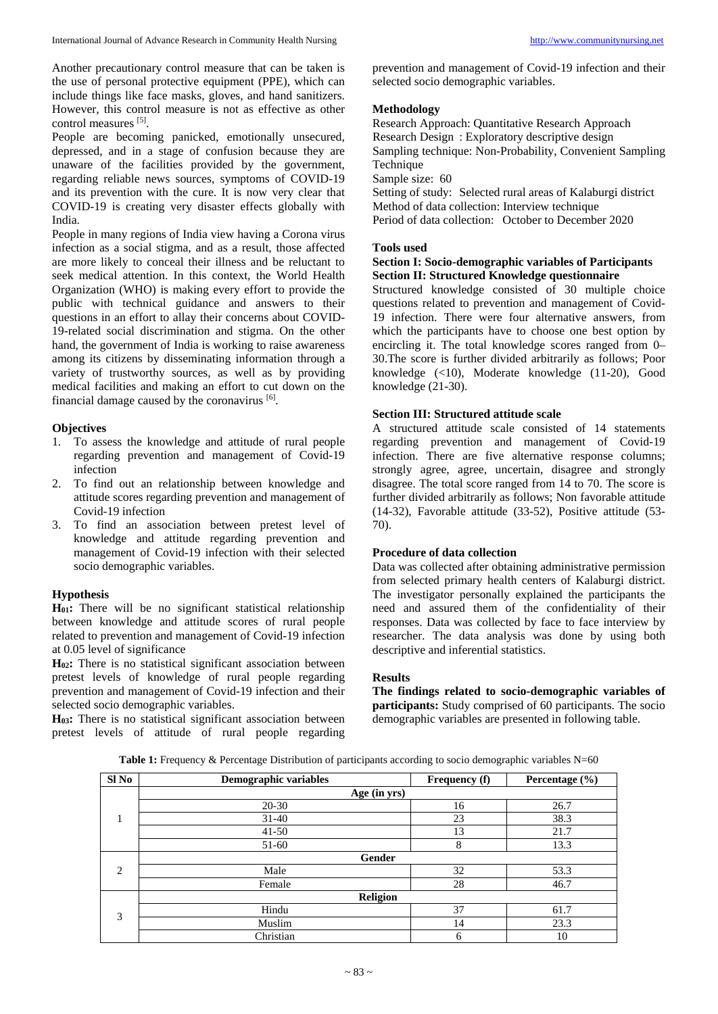Another precautionary control measure that can be taken is the use of personal protective equipment (PPE), which can include things like face masks, gloves, and hand sanitizers. However, this control measure is not as effective as other control measures [5].

People are becoming panicked, emotionally unsecured, depressed, and in a stage of confusion because they are unaware of the facilities provided by the government, regarding reliable news sources, symptoms of COVID-19 and its prevention with the cure. It is now very clear that COVID-19 is creating very disaster effects globally with India.

People in many regions of India view having a Corona virus infection as a social stigma, and as a result, those affected are more likely to conceal their illness and be reluctant to seek medical attention. In this context, the World Health Organization (WHO) is making every effort to provide the public with technical guidance and answers to their questions in an effort to allay their concerns about COVID-19-related social discrimination and stigma. On the other hand, the government of India is working to raise awareness among its citizens by disseminating information through a variety of trustworthy sources, as well as by providing medical facilities and making an effort to cut down on the financial damage caused by the coronavirus [6].

#### **Objectives**

- 1. To assess the knowledge and attitude of rural people regarding prevention and management of Covid-19 infection
- 2. To find out an relationship between knowledge and attitude scores regarding prevention and management of Covid-19 infection
- 3. To find an association between pretest level of knowledge and attitude regarding prevention and management of Covid-19 infection with their selected socio demographic variables.

#### **Hypothesis**

**H01:** There will be no significant statistical relationship between knowledge and attitude scores of rural people related to prevention and management of Covid-19 infection at 0.05 level of significance

**H02:** There is no statistical significant association between pretest levels of knowledge of rural people regarding prevention and management of Covid-19 infection and their selected socio demographic variables.

**H03:** There is no statistical significant association between pretest levels of attitude of rural people regarding prevention and management of Covid-19 infection and their selected socio demographic variables.

#### **Methodology**

Research Approach: Quantitative Research Approach Research Design : Exploratory descriptive design Sampling technique: Non-Probability, Convenient Sampling Technique Sample size: 60

Setting of study: Selected rural areas of Kalaburgi district Method of data collection: Interview technique

Period of data collection: October to December 2020

#### **Tools used**

#### **Section I: Socio-demographic variables of Participants Section II: Structured Knowledge questionnaire**

Structured knowledge consisted of 30 multiple choice questions related to prevention and management of Covid-19 infection. There were four alternative answers, from which the participants have to choose one best option by encircling it. The total knowledge scores ranged from 0– 30.The score is further divided arbitrarily as follows; Poor knowledge (<10), Moderate knowledge (11-20), Good knowledge (21-30).

#### **Section III: Structured attitude scale**

A structured attitude scale consisted of 14 statements regarding prevention and management of Covid-19 infection. There are five alternative response columns; strongly agree, agree, uncertain, disagree and strongly disagree. The total score ranged from 14 to 70. The score is further divided arbitrarily as follows; Non favorable attitude (14-32), Favorable attitude (33-52), Positive attitude (53- 70).

#### **Procedure of data collection**

Data was collected after obtaining administrative permission from selected primary health centers of Kalaburgi district. The investigator personally explained the participants the need and assured them of the confidentiality of their responses. Data was collected by face to face interview by researcher. The data analysis was done by using both descriptive and inferential statistics.

#### **Results**

**The findings related to socio-demographic variables of participants:** Study comprised of 60 participants. The socio demographic variables are presented in following table.

|  | Table 1: Frequency & Percentage Distribution of participants according to socio demographic variables $N=60$ |  |  |  |  |
|--|--------------------------------------------------------------------------------------------------------------|--|--|--|--|
|--|--------------------------------------------------------------------------------------------------------------|--|--|--|--|

| Sl No              | <b>Demographic variables</b> | <b>Frequency</b> (f) | Percentage $(\% )$ |  |  |  |  |
|--------------------|------------------------------|----------------------|--------------------|--|--|--|--|
|                    | Age (in yrs)                 |                      |                    |  |  |  |  |
| $\mathbf{1}$<br>л. | $20 - 30$                    | 16                   | 26.7               |  |  |  |  |
|                    | $31-40$                      | 23                   | 38.3               |  |  |  |  |
|                    | $41 - 50$                    | 13                   | 21.7               |  |  |  |  |
|                    | 51-60                        | 8                    | 13.3               |  |  |  |  |
|                    | Gender                       |                      |                    |  |  |  |  |
| 2                  | Male                         | 32                   | 53.3               |  |  |  |  |
|                    | Female                       | 28                   | 46.7               |  |  |  |  |
|                    | Religion                     |                      |                    |  |  |  |  |
| 3                  | Hindu                        | 37                   | 61.7               |  |  |  |  |
|                    | Muslim                       | 14                   | 23.3               |  |  |  |  |
|                    | Christian                    | 6                    | 10                 |  |  |  |  |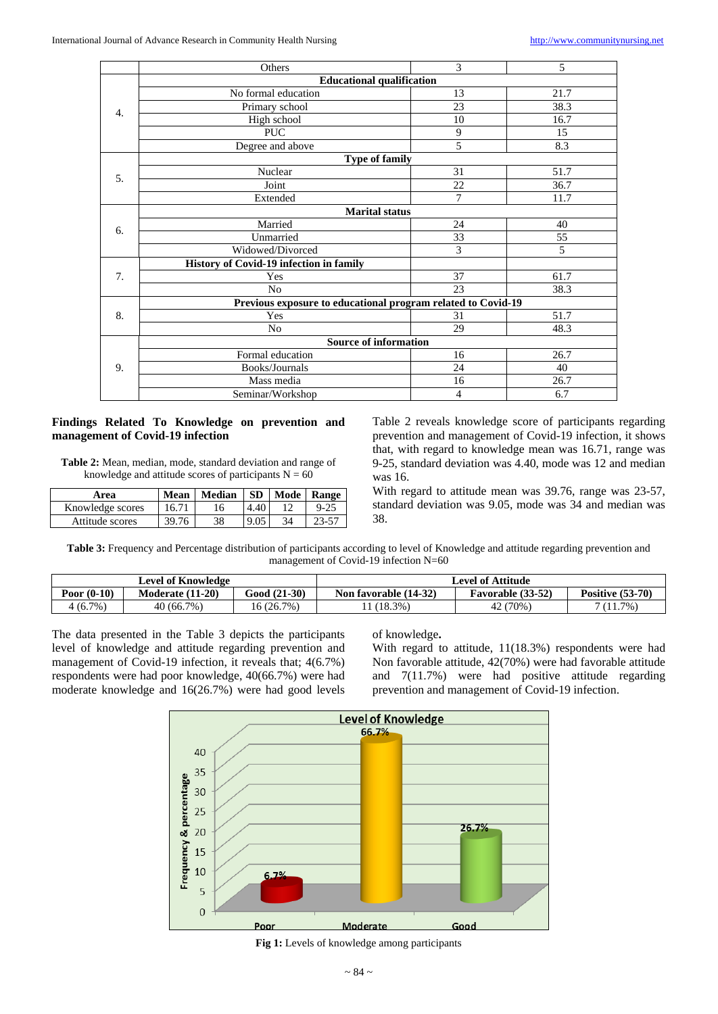|          | Others                                                       | 3  | 5    |  |  |  |  |
|----------|--------------------------------------------------------------|----|------|--|--|--|--|
|          | <b>Educational qualification</b>                             |    |      |  |  |  |  |
|          | No formal education                                          | 13 | 21.7 |  |  |  |  |
| 4.       | Primary school                                               | 23 | 38.3 |  |  |  |  |
|          | High school                                                  | 10 | 16.7 |  |  |  |  |
|          | <b>PUC</b>                                                   | 9  | 15   |  |  |  |  |
|          | Degree and above                                             | 5  | 8.3  |  |  |  |  |
|          | <b>Type of family</b>                                        |    |      |  |  |  |  |
| 5.       | Nuclear                                                      | 31 | 51.7 |  |  |  |  |
|          | Joint                                                        | 22 | 36.7 |  |  |  |  |
|          | Extended                                                     | 7  | 11.7 |  |  |  |  |
|          | <b>Marital status</b>                                        |    |      |  |  |  |  |
| 6.       | Married                                                      | 24 | 40   |  |  |  |  |
|          | Unmarried                                                    | 33 | 55   |  |  |  |  |
|          | Widowed/Divorced                                             | 3  | 5    |  |  |  |  |
|          | History of Covid-19 infection in family                      |    |      |  |  |  |  |
| 7.       | Yes                                                          | 37 | 61.7 |  |  |  |  |
|          | N <sub>0</sub>                                               | 23 | 38.3 |  |  |  |  |
|          | Previous exposure to educational program related to Covid-19 |    |      |  |  |  |  |
|          | Yes                                                          | 31 | 51.7 |  |  |  |  |
| 8.<br>No |                                                              | 29 | 48.3 |  |  |  |  |
|          | <b>Source of information</b>                                 |    |      |  |  |  |  |
| 9.       | Formal education                                             | 16 | 26.7 |  |  |  |  |
|          | Books/Journals                                               | 24 | 40   |  |  |  |  |
|          | Mass media                                                   | 16 | 26.7 |  |  |  |  |
|          | Seminar/Workshop                                             | 4  | 6.7  |  |  |  |  |

#### **Findings Related To Knowledge on prevention and management of Covid-19 infection**

**Table 2:** Mean, median, mode, standard deviation and range of knowledge and attitude scores of participants  $N = 60$ 

| Area             | Mean  | Median | <b>SD</b> | Mode | Range    |
|------------------|-------|--------|-----------|------|----------|
| Knowledge scores | 16.71 | l6     | 4.40      |      | $9 - 25$ |
| Attitude scores  | 39.76 | 38     | 9.05      |      | 23-57    |

Table 2 reveals knowledge score of participants regarding prevention and management of Covid-19 infection, it shows that, with regard to knowledge mean was 16.71, range was 9-25, standard deviation was 4.40, mode was 12 and median was 16.

With regard to attitude mean was 39.76, range was 23-57, standard deviation was 9.05, mode was 34 and median was 38.

**Table 3:** Frequency and Percentage distribution of participants according to level of Knowledge and attitude regarding prevention and management of Covid-19 infection N=60

| <b>Level of Knowledge</b> |                  |              | Level of Attitude     |                   |                    |
|---------------------------|------------------|--------------|-----------------------|-------------------|--------------------|
| Poor $(0-10)$             | Moderate (11-20) | Good (21-30) | Non favorable (14-32) | Favorable (33-52) | Positive $(53-70)$ |
| 4 (6.7%)                  | 40 (66.7%)       | 16 (26.7%)   | (18.3%)               | 42 (70%)          | $7(11.7\%)$        |

The data presented in the Table 3 depicts the participants level of knowledge and attitude regarding prevention and management of Covid-19 infection, it reveals that; 4(6.7%) respondents were had poor knowledge, 40(66.7%) were had moderate knowledge and 16(26.7%) were had good levels

of knowledge**.**

With regard to attitude, 11(18.3%) respondents were had Non favorable attitude, 42(70%) were had favorable attitude and 7(11.7%) were had positive attitude regarding prevention and management of Covid-19 infection.



**Fig 1:** Levels of knowledge among participants